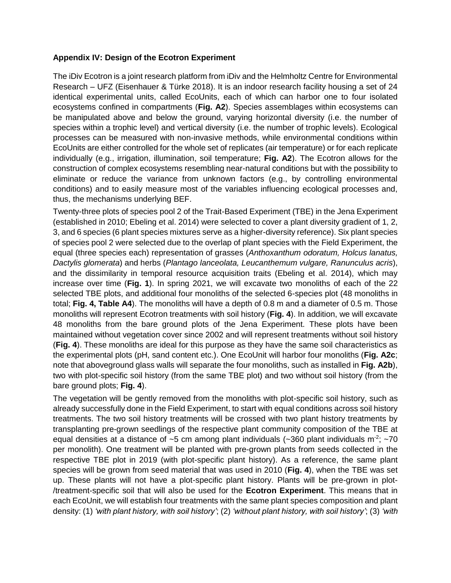## **Appendix IV: Design of the Ecotron Experiment**

The iDiv Ecotron is a joint research platform from iDiv and the Helmholtz Centre for Environmental Research – UFZ (Eisenhauer & Türke 2018). It is an indoor research facility housing a set of 24 identical experimental units, called EcoUnits, each of which can harbor one to four isolated ecosystems confined in compartments (**Fig. A2**). Species assemblages within ecosystems can be manipulated above and below the ground, varying horizontal diversity (i.e. the number of species within a trophic level) and vertical diversity (i.e. the number of trophic levels). Ecological processes can be measured with non-invasive methods, while environmental conditions within EcoUnits are either controlled for the whole set of replicates (air temperature) or for each replicate individually (e.g., irrigation, illumination, soil temperature; **Fig. A2**). The Ecotron allows for the construction of complex ecosystems resembling near-natural conditions but with the possibility to eliminate or reduce the variance from unknown factors (e.g., by controlling environmental conditions) and to easily measure most of the variables influencing ecological processes and, thus, the mechanisms underlying BEF.

Twenty-three plots of species pool 2 of the Trait-Based Experiment (TBE) in the Jena Experiment (established in 2010; Ebeling et al. 2014) were selected to cover a plant diversity gradient of 1, 2, 3, and 6 species (6 plant species mixtures serve as a higher-diversity reference). Six plant species of species pool 2 were selected due to the overlap of plant species with the Field Experiment, the equal (three species each) representation of grasses (*Anthoxanthum odoratum, Holcus lanatus, Dactylis glomerata*) and herbs (*Plantago lanceolata, Leucanthemum vulgare, Ranunculus acris*), and the dissimilarity in temporal resource acquisition traits (Ebeling et al. 2014), which may increase over time (**Fig. 1**). In spring 2021, we will excavate two monoliths of each of the 22 selected TBE plots, and additional four monoliths of the selected 6-species plot (48 monoliths in total; **Fig. 4, Table A4**). The monoliths will have a depth of 0.8 m and a diameter of 0.5 m. Those monoliths will represent Ecotron treatments with soil history (**Fig. 4**). In addition, we will excavate 48 monoliths from the bare ground plots of the Jena Experiment. These plots have been maintained without vegetation cover since 2002 and will represent treatments without soil history (**Fig. 4**). These monoliths are ideal for this purpose as they have the same soil characteristics as the experimental plots (pH, sand content etc.). One EcoUnit will harbor four monoliths (**Fig. A2c**; note that aboveground glass walls will separate the four monoliths, such as installed in **Fig. A2b**), two with plot-specific soil history (from the same TBE plot) and two without soil history (from the bare ground plots; **Fig. 4**).

The vegetation will be gently removed from the monoliths with plot-specific soil history, such as already successfully done in the Field Experiment, to start with equal conditions across soil history treatments. The two soil history treatments will be crossed with two plant history treatments by transplanting pre-grown seedlings of the respective plant community composition of the TBE at equal densities at a distance of  $\sim$ 5 cm among plant individuals ( $\sim$ 360 plant individuals m<sup>-2</sup>;  $\sim$ 70 per monolith). One treatment will be planted with pre-grown plants from seeds collected in the respective TBE plot in 2019 (with plot-specific plant history). As a reference, the same plant species will be grown from seed material that was used in 2010 (**Fig. 4**), when the TBE was set up. These plants will not have a plot-specific plant history. Plants will be pre-grown in plot- /treatment-specific soil that will also be used for the **Ecotron Experiment**. This means that in each EcoUnit, we will establish four treatments with the same plant species composition and plant density: (1) *'with plant history, with soil history'*; (2) *'without plant history, with soil history'*; (3) *'with*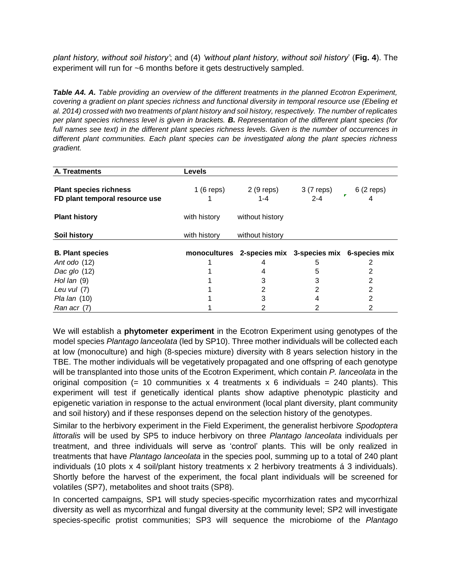*plant history, without soil history'*; and (4) *'without plant history, without soil history*' (**Fig. 4**). The experiment will run for ~6 months before it gets destructively sampled.

*Table A4. A. Table providing an overview of the different treatments in the planned Ecotron Experiment, covering a gradient on plant species richness and functional diversity in temporal resource use (Ebeling et al. 2014) crossed with two treatments of plant history and soil history, respectively. The number of replicates per plant species richness level is given in brackets. B. Representation of the different plant species (for full names see text) in the different plant species richness levels. Given is the number of occurrences in different plant communities. Each plant species can be investigated along the plant species richness gradient.*

| A. Treatments                                                   | <b>Levels</b> |                                                        |                       |            |
|-----------------------------------------------------------------|---------------|--------------------------------------------------------|-----------------------|------------|
| <b>Plant species richness</b><br>FD plant temporal resource use | 1 (6 reps)    | 2 (9 reps)<br>$1 - 4$                                  | 3 (7 reps)<br>$2 - 4$ | 6 (2 reps) |
| <b>Plant history</b>                                            | with history  | without history                                        |                       |            |
| Soil history                                                    | with history  | without history                                        |                       |            |
| <b>B. Plant species</b>                                         |               | monocultures 2-species mix 3-species mix 6-species mix |                       |            |
| Ant odo (12)                                                    |               |                                                        | 5                     |            |
| Dac glo (12)                                                    |               |                                                        | 5                     |            |
| Hol lan $(9)$                                                   |               |                                                        |                       |            |
| Leu vul (7)                                                     |               |                                                        | 2                     | 2          |
| <i>Pla lan</i> (10)                                             |               |                                                        |                       | 2          |
| Ran acr (7)                                                     |               |                                                        |                       |            |

We will establish a **phytometer experiment** in the Ecotron Experiment using genotypes of the model species *Plantago lanceolata* (led by SP10). Three mother individuals will be collected each at low (monoculture) and high (8-species mixture) diversity with 8 years selection history in the TBE. The mother individuals will be vegetatively propagated and one offspring of each genotype will be transplanted into those units of the Ecotron Experiment, which contain *P. lanceolata* in the original composition (= 10 communities x 4 treatments x 6 individuals = 240 plants). This experiment will test if genetically identical plants show adaptive phenotypic plasticity and epigenetic variation in response to the actual environment (local plant diversity, plant community and soil history) and if these responses depend on the selection history of the genotypes.

Similar to the herbivory experiment in the Field Experiment, the generalist herbivore *Spodoptera littoralis* will be used by SP5 to induce herbivory on three *Plantago lanceolata* individuals per treatment, and three individuals will serve as 'control' plants. This will be only realized in treatments that have *Plantago lanceolata* in the species pool, summing up to a total of 240 plant individuals (10 plots x 4 soil/plant history treatments x 2 herbivory treatments á 3 individuals). Shortly before the harvest of the experiment, the focal plant individuals will be screened for volatiles (SP7), metabolites and shoot traits (SP8).

In concerted campaigns, SP1 will study species-specific mycorrhization rates and mycorrhizal diversity as well as mycorrhizal and fungal diversity at the community level; SP2 will investigate species-specific protist communities; SP3 will sequence the microbiome of the *Plantago*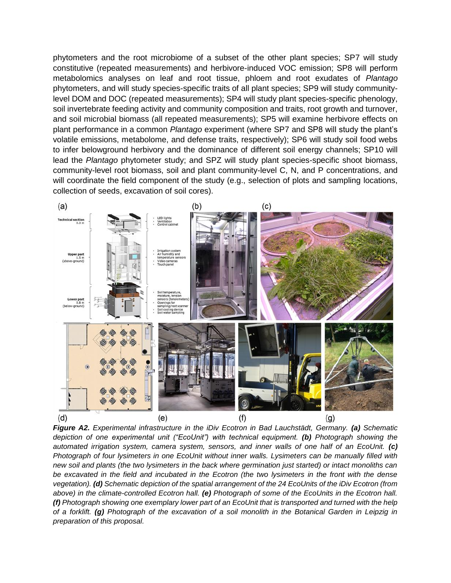phytometers and the root microbiome of a subset of the other plant species; SP7 will study constitutive (repeated measurements) and herbivore-induced VOC emission; SP8 will perform metabolomics analyses on leaf and root tissue, phloem and root exudates of *Plantago* phytometers, and will study species-specific traits of all plant species; SP9 will study communitylevel DOM and DOC (repeated measurements); SP4 will study plant species-specific phenology, soil invertebrate feeding activity and community composition and traits, root growth and turnover, and soil microbial biomass (all repeated measurements); SP5 will examine herbivore effects on plant performance in a common *Plantago* experiment (where SP7 and SP8 will study the plant's volatile emissions, metabolome, and defense traits, respectively); SP6 will study soil food webs to infer belowground herbivory and the dominance of different soil energy channels; SP10 will lead the *Plantago* phytometer study; and SPZ will study plant species-specific shoot biomass, community-level root biomass, soil and plant community-level C, N, and P concentrations, and will coordinate the field component of the study (e.g., selection of plots and sampling locations, collection of seeds, excavation of soil cores).



*Figure A2. Experimental infrastructure in the iDiv Ecotron in Bad Lauchstädt, Germany. (a) Schematic depiction of one experimental unit ("EcoUnit") with technical equipment. (b) Photograph showing the automated irrigation system, camera system, sensors, and inner walls of one half of an EcoUnit. (c) Photograph of four lysimeters in one EcoUnit without inner walls. Lysimeters can be manually filled with new soil and plants (the two lysimeters in the back where germination just started) or intact monoliths can be excavated in the field and incubated in the Ecotron (the two lysimeters in the front with the dense vegetation). (d) Schematic depiction of the spatial arrangement of the 24 EcoUnits of the iDiv Ecotron (from above) in the climate-controlled Ecotron hall. (e) Photograph of some of the EcoUnits in the Ecotron hall. (f) Photograph showing one exemplary lower part of an EcoUnit that is transported and turned with the help of a forklift. (g) Photograph of the excavation of a soil monolith in the Botanical Garden in Leipzig in preparation of this proposal.*